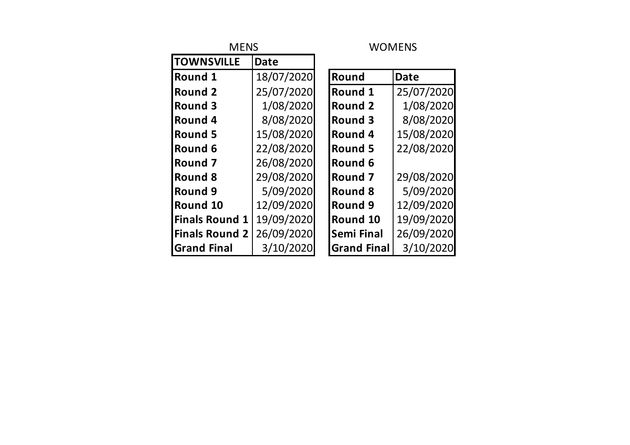| <b>MENS</b>           |            | <b>WOMENS</b> |                    |             |  |  |  |  |  |
|-----------------------|------------|---------------|--------------------|-------------|--|--|--|--|--|
| <b>TOWNSVILLE</b>     | Date       |               |                    |             |  |  |  |  |  |
| <b>Round 1</b>        | 18/07/2020 |               | Round              | <b>Date</b> |  |  |  |  |  |
| <b>Round 2</b>        | 25/07/2020 |               | Round 1            | 25/07/2020  |  |  |  |  |  |
| Round 3               | 1/08/2020  |               | <b>Round 2</b>     | 1/08/2020   |  |  |  |  |  |
| <b>Round 4</b>        | 8/08/2020  |               | Round 3            | 8/08/2020   |  |  |  |  |  |
| <b>Round 5</b>        | 15/08/2020 |               | Round 4            | 15/08/2020  |  |  |  |  |  |
| Round 6               | 22/08/2020 |               | <b>Round 5</b>     | 22/08/2020  |  |  |  |  |  |
| <b>Round 7</b>        | 26/08/2020 |               | Round 6            |             |  |  |  |  |  |
| Round 8               | 29/08/2020 |               | Round 7            | 29/08/2020  |  |  |  |  |  |
| Round 9               | 5/09/2020  |               | <b>Round 8</b>     | 5/09/2020   |  |  |  |  |  |
| Round 10              | 12/09/2020 |               | Round 9            | 12/09/2020  |  |  |  |  |  |
| <b>Finals Round 1</b> | 19/09/2020 |               | Round 10           | 19/09/2020  |  |  |  |  |  |
| <b>Finals Round 2</b> | 26/09/2020 |               | <b>Semi Final</b>  | 26/09/2020  |  |  |  |  |  |
| <b>Grand Final</b>    | 3/10/2020  |               | <b>Grand Final</b> | 3/10/2020   |  |  |  |  |  |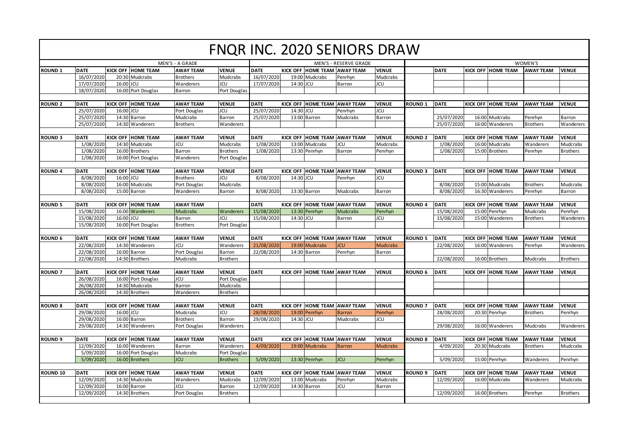|                 |             |           |                                         |                           |                         |             |           |                              | FNQR INC. 2020 SENIORS DRAW |                       |                |             |  |                           |                  |                 |
|-----------------|-------------|-----------|-----------------------------------------|---------------------------|-------------------------|-------------|-----------|------------------------------|-----------------------------|-----------------------|----------------|-------------|--|---------------------------|------------------|-----------------|
| MEN'S - A GRADE |             |           |                                         |                           | MEN'S - RESERVE GRADE   |             |           |                              |                             | WOMEN'S               |                |             |  |                           |                  |                 |
| <b>ROUND 1</b>  | <b>DATE</b> |           | <b>KICK OFF HOME TEAM</b>               | <b>AWAY TEAM</b>          | <b>VENUE</b>            | <b>DATE</b> |           | KICK OFF HOME TEAM AWAY TEAM |                             | <b>VENUE</b>          |                | <b>DATE</b> |  | <b>KICK OFF HOME TEAM</b> | <b>AWAY TEAM</b> | <b>VENUE</b>    |
|                 | 16/07/2020  |           | 20:30 Mudcrabs                          | <b>Brothers</b>           | Mudcrabs                | 16/07/2020  |           | 19:00 Mudcrabs               | Penrhyn                     | Mudcrabs              |                |             |  |                           |                  |                 |
|                 | 17/07/2020  | 16:00 JCU |                                         | Wanderers                 | <b>JCU</b>              | 17/07/2020  | 14:30 JCU |                              | Barron                      | <b>JCU</b>            |                |             |  |                           |                  |                 |
|                 | 18/07/2020  |           | 16:00 Port Douglas                      | Barron                    | Port Douglas            |             |           |                              |                             |                       |                |             |  |                           |                  |                 |
|                 |             |           |                                         |                           |                         |             |           |                              |                             |                       |                |             |  |                           |                  |                 |
| <b>ROUND 2</b>  | <b>DATE</b> |           | <b>KICK OFF HOME TEAM</b>               | <b>AWAY TEAM</b>          | <b>VENUE</b>            | <b>DATE</b> |           | KICK OFF HOME TEAM AWAY TEAM |                             | <b>VENUE</b>          | <b>ROUND 1</b> | <b>DATE</b> |  | KICK OFF HOME TEAM        | <b>AWAY TEAM</b> | <b>VENUE</b>    |
|                 | 25/07/2020  | 16:00     | <b>JCU</b>                              | Port Douglas              | <b>JCU</b>              | 25/07/2020  | 14:30     | JCU                          | Penrhyn                     | <b>JCU</b>            |                |             |  |                           |                  |                 |
|                 | 25/07/2020  |           | 14:30 Barron                            | Mudcrabs                  | Barron                  | 25/07/2020  |           | 13:00 Barron                 | Mudcrabs                    | Barron                |                | 25/07/2020  |  | 16:00 Mudcrabs            | Penrhyn          | Barron          |
|                 | 25/07/2020  |           | 14:30 Wanderers                         | <b>Brothers</b>           | Wanderers               |             |           |                              |                             |                       |                | 25/07/2020  |  | 16:00 Wanderers           | <b>Brothers</b>  | Wanderers       |
|                 |             |           |                                         |                           |                         |             |           |                              |                             |                       |                |             |  |                           |                  |                 |
| <b>ROUND 3</b>  | <b>DATE</b> |           | <b>KICK OFF HOME TEAM</b>               | <b>AWAY TEAM</b>          | <b>VENUE</b>            | <b>DATE</b> |           | KICK OFF HOME TEAM AWAY TEAM |                             | <b>VENUE</b>          | <b>ROUND 2</b> | <b>DATE</b> |  | KICK OFF HOME TEAM        | <b>AWAY TEAM</b> | <b>VENUE</b>    |
|                 | 1/08/2020   |           | 14:30 Mudcrabs                          | JCU                       | Mudcrabs                | 1/08/2020   |           | 13:00 Mudcrabs               | JCU                         | Mudcrabs              |                | 1/08/2020   |  | 16:00 Mudcrabs            | Wanderers        | Mudcrabs        |
|                 | 1/08/2020   |           | 16:00 Brothers                          | Barron                    | <b>Brothers</b>         | 1/08/2020   |           | 13:30 Penrhyn                | Barron                      | Penrhyn               |                | 1/08/2020   |  | 15:00 Brothers            | Penrhyn          | <b>Brothers</b> |
|                 | 1/08/2020   |           | 16:00 Port Douglas                      | Wanderers                 | Port Douglas            |             |           |                              |                             |                       |                |             |  |                           |                  |                 |
|                 |             |           |                                         |                           |                         |             |           |                              |                             |                       |                |             |  |                           |                  |                 |
| <b>ROUND 4</b>  | <b>DATE</b> |           | <b>KICK OFF HOME TEAM</b><br><b>JCU</b> | <b>AWAY TEAM</b>          | <b>VENUE</b>            | <b>DATE</b> |           | KICK OFF HOME TEAM AWAY TEAM |                             | <b>VENUE</b>          | <b>ROUND 3</b> | <b>DATE</b> |  | <b>KICK OFF HOME TEAM</b> | <b>AWAY TEAM</b> | <b>VENUE</b>    |
|                 | 8/08/2020   | 16:00     |                                         | <b>Brothers</b>           | JCU                     | 8/08/2020   | 14:30 JCU |                              | Penrhyn                     | <b>JCU</b>            |                |             |  |                           |                  |                 |
|                 | 8/08/2020   |           | 16:00 Mudcrabs                          | Port Douglas              | Mudcrabs                |             |           |                              |                             |                       |                | 8/08/2020   |  | 15:00 Mudcrabs            | Brothers         | Mudcrabs        |
|                 | 8/08/2020   |           | 15:00 Barron                            | Wanderers                 | Barron                  | 8/08/2020   |           | 13:30 Barron                 | Mudcrabs                    | Barron                |                | 8/08/2020   |  | 16:30 Wanderers           | Penrhyn          | <b>Barron</b>   |
| <b>ROUND 5</b>  | <b>DATE</b> |           | <b>KICK OFF HOME TEAM</b>               | <b>AWAY TEAM</b>          |                         | <b>DATE</b> |           | KICK OFF HOME TEAM AWAY TEAM |                             | <b>VENUE</b>          | <b>ROUND 4</b> | <b>DATE</b> |  | <b>KICK OFF HOME TEAM</b> | <b>AWAY TEAM</b> | <b>VENUE</b>    |
|                 | 15/08/2020  |           | 16:00 Wanderers                         |                           |                         | 15/08/2020  |           | 13:30 Penrhyn                |                             |                       |                | 15/08/2020  |  | 15:00 Penrhyn             | Mudcrabs         |                 |
|                 | 15/08/2020  | 16:00     | <b>JCU</b>                              | <b>Mudcrabs</b><br>Barron | <b>Wanderers</b><br>JCU | 15/08/2020  | 14:30 JCU |                              | <b>Mudcrabs</b><br>Barron   | Penrhyn<br><b>JCU</b> |                | 15/08/2020  |  | 15:00 Wanderers           |                  | Penrhyn         |
|                 |             |           | 16:00 Port Douglas                      |                           |                         |             |           |                              |                             |                       |                |             |  |                           | <b>Brothers</b>  | Wanderers       |
|                 | 15/08/2020  |           |                                         | <b>Brothers</b>           | Port Douglas            |             |           |                              |                             |                       |                |             |  |                           |                  |                 |
| <b>ROUND 6</b>  | <b>DATE</b> |           | <b>KICK OFF HOME TEAM</b>               | <b>AWAY TEAM</b>          | <b>VENUE</b>            | <b>DATE</b> |           | KICK OFF HOME TEAM AWAY TEAM |                             | <b>VENUE</b>          | <b>ROUND 5</b> | <b>DATE</b> |  | <b>KICK OFF HOME TEAM</b> | <b>AWAY TEAM</b> | <b>VENUE</b>    |
|                 | 22/08/2020  |           | 14:30 Wanderers                         | JCU                       | Wanderers               | 21/08/2020  |           | 19:00 Mudcrabs               | JCU                         | <b>Mudcrabs</b>       |                | 22/08/2020  |  | 16:00 Wanderers           | Penrhyn          | Wanderers       |
|                 | 22/08/2020  |           | 16:00 Barron                            | Port Douglas              | Barron                  | 22/08/2020  |           | 14:30 Barron                 | Penrhyn                     | Barron                |                |             |  |                           |                  |                 |
|                 | 22/08/2020  |           | 14:30 Brothers                          | Mudcrabs                  | <b>Brothers</b>         |             |           |                              |                             |                       |                | 22/08/2020  |  | 16:00 Brothers            | Mudcrabs         | <b>Brothers</b> |
|                 |             |           |                                         |                           |                         |             |           |                              |                             |                       |                |             |  |                           |                  |                 |
| <b>ROUND 7</b>  | <b>DATE</b> |           | <b>KICK OFF HOME TEAM</b>               | <b>AWAY TEAM</b>          | <b>VENUE</b>            | <b>DATE</b> |           | KICK OFF HOME TEAM AWAY TEAM |                             | <b>VENUE</b>          | <b>ROUND 6</b> | <b>DATE</b> |  | <b>KICK OFF HOME TEAM</b> | <b>AWAY TEAM</b> | <b>VENUE</b>    |
|                 | 26/08/2020  |           | 16:00 Port Douglas                      | JCU                       | Port Douglas            |             |           |                              |                             |                       |                |             |  |                           |                  |                 |
|                 | 26/08/2020  |           | 14:30 Mudcrabs                          | Barron                    | Mudcrabs                |             |           |                              |                             |                       |                |             |  |                           |                  |                 |
|                 | 26/08/2020  |           | 14:30 Brothers                          | Wanderers                 | <b>Brothers</b>         |             |           |                              |                             |                       |                |             |  |                           |                  |                 |
|                 |             |           |                                         |                           |                         |             |           |                              |                             |                       |                |             |  |                           |                  |                 |
| <b>ROUND 8</b>  | <b>DATE</b> |           | <b>KICK OFF HOME TEAM</b>               | <b>AWAY TEAM</b>          | <b>VENUE</b>            | <b>DATE</b> |           | KICK OFF HOME TEAM AWAY TEAM |                             | <b>VENUE</b>          | <b>ROUND 7</b> | <b>DATE</b> |  | <b>KICK OFF HOME TEAM</b> | <b>AWAY TEAM</b> | <b>VENUE</b>    |
|                 | 29/08/2020  | 16:00 JCU |                                         | Mudcrabs                  | JCU                     | 28/08/2020  |           | 19:00 Penrhyn                | <b>Barron</b>               | Penrhyn               |                | 28/08/2020  |  | 20:30 Penrhyn             | <b>Brothers</b>  | Penrhyn         |
|                 | 29/08/2020  | 16:00     | Barron                                  | <b>Brothers</b>           | Barron                  | 29/08/2020  | 14:30 JCU |                              | Mudcrabs                    | <b>JCU</b>            |                |             |  |                           |                  |                 |
|                 | 29/08/2020  |           | 14:30 Wanderers                         | Port Douglas              | Wanderers               |             |           |                              |                             |                       |                | 29/08/2020  |  | 16:00 Wanderers           | Mudcrabs         | Wanderers       |
|                 |             |           |                                         |                           |                         |             |           |                              |                             |                       |                |             |  |                           |                  |                 |
| <b>ROUND 9</b>  | <b>DATE</b> |           | <b>KICK OFF HOME TEAM</b>               | <b>AWAY TEAM</b>          | <b>VENUE</b>            | <b>DATE</b> |           | KICK OFF HOME TEAM AWAY TEAM |                             | <b>VENUE</b>          | <b>ROUND 8</b> | <b>DATE</b> |  | <b>KICK OFF HOME TEAM</b> | <b>AWAY TEAM</b> | <b>VENUE</b>    |
|                 | 12/09/2020  |           | 16:00 Wanderers                         | Barron                    | Wanderers               | 4/09/2020   |           | 19:00 Mudcrabs               | <b>Barron</b>               | <b>Mudcrabs</b>       |                | 4/09/2020   |  | 20:30 Mudcrabs            | <b>Brothers</b>  | Mudcrabs        |
|                 | 5/09/2020   |           | 16:00 Port Douglas                      | Mudcrabs                  | Port Douglas            |             |           |                              |                             |                       |                |             |  |                           |                  |                 |
|                 | 5/09/2020   |           | 16:00 Brothers                          | <b>JCU</b>                | <b>Brothers</b>         | 5/09/2020   |           | 13:30 Penrhyn                | <b>JCU</b>                  | Penrhyn               |                | 5/09/2020   |  | 15:00 Penrhyn             | Wanderers        | Penrhyn         |
|                 |             |           |                                         |                           |                         |             |           |                              |                             |                       |                |             |  |                           |                  |                 |
| <b>ROUND 10</b> | <b>DATE</b> |           | <b>KICK OFF HOME TEAM</b>               | <b>AWAY TEAM</b>          | <b>VENUE</b>            | <b>DATE</b> |           | KICK OFF HOME TEAM AWAY TEAM |                             | <b>VENUE</b>          | <b>ROUND 9</b> | <b>DATE</b> |  | KICK OFF HOME TEAM        | <b>AWAY TEAM</b> | <b>VENUE</b>    |
|                 | 12/09/2020  |           | 14:30 Mudcrabs                          | Wanderers                 | Mudcrabs                | 12/09/2020  |           | 13:00 Mudcrabs               | Penrhyn                     | Mudcrabs              |                | 12/09/2020  |  | 16:00 Mudcrabs            | Wanderers        | Mudcrabs        |
|                 | 12/09/2020  | 16:00     | <b>Barron</b>                           | JCU                       | Barron                  | 12/09/2020  |           | 14:30 Barron                 | <b>JCU</b>                  | Barron                |                |             |  |                           |                  |                 |
|                 | 12/09/2020  |           | 14:30 Brothers                          | Port Douglas              | <b>Brothers</b>         |             |           |                              |                             |                       |                | 12/09/2020  |  | 16:00 Brothers            | Penrhyn          | <b>Brothers</b> |
|                 |             |           |                                         |                           |                         |             |           |                              |                             |                       |                |             |  |                           |                  |                 |